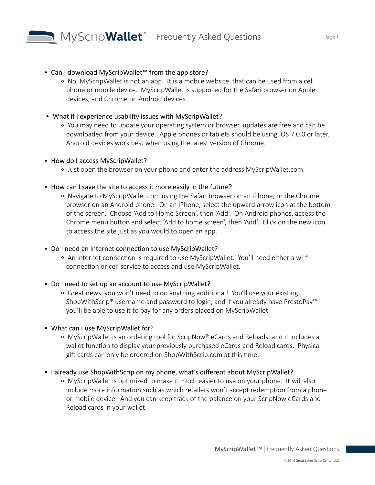

- Can I download MyScripWallet™ from the app store?
	- No, MyScripWallet is not an app. It is a mobile website that can be used from a cell phone or mobile device. MyScripWallet is supported for the Safari browser on Apple devices, and Chrome on Android devices.
- What if I experience usability issues with MyScripWallet?
	- You may need to update your operating system or browser, updates are free and can be downloaded from your device. Apple phones or tablets should be using iOS 7.0.0 or later. Android devices work best when using the latest version of Chrome.
- How do I access MyScripWallet?
	- Just open the browser on your phone and enter the address MyScripWallet.com.
- How can I save the site to access it more easily in the future?
	- <sup>o</sup> Navigate to MyScripWallet.com using the Safari browser on an iPhone, or the Chrome browser on an Android phone. On an iPhone, select the upward arrow icon at the bottom of the screen. Choose 'Add to Home Screen', then 'Add'. On Android phones, access the Chrome menu button and select 'Add to home screen', then 'Add'. Click on the new icon to access the site just as you would to open an app.
- Do I need an internet connection to use MyScripWallet?
	- An internet connection is required to use MyScripWallet. You'll need either a wi-fi connection or cell service to access and use MyScripWallet.
- Do I need to set up an account to use MyScripWallet?
	- o Great news, you won't need to do anything additional! You'll use your existing ShopWithScrip® username and password to login, and if you already have PrestoPay<sup>™</sup> you'll be able to use it to pay for any orders placed on MyScripWallet.
- What can I use MyScripWallet for?
	- MyScripWallet is an ordering tool for ScripNow® eCards and Reloads, and it includes a wallet function to display your previously purchased eCards and Reload cards. Physical gift cards can only be ordered on ShopWithScrip.com at this time.
- I already use ShopWithScrip on my phone, what's different about MyScripWallet?
	- MyScripWallet is optimized to make it much easier to use on your phone. It will also include more information such as which retailers won't accept redemption from a phone or mobile device. And you can keep track of the balance on your ScripNow eCards and Reload cards in your wallet.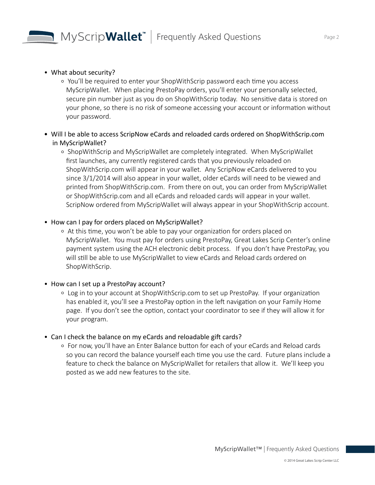## • What about security?

 You'll be required to enter your ShopWithScrip password each time you access MyScripWallet. When placing PrestoPay orders, you'll enter your personally selected, secure pin number just as you do on ShopWithScrip today. No sensitive data is stored on your phone, so there is no risk of someone accessing your account or information without your password.

# • Will I be able to access ScripNow eCards and reloaded cards ordered on ShopWithScrip.com in MyScripWallet?

o ShopWithScrip and MyScripWallet are completely integrated. When MyScripWallet first launches, any currently registered cards that you previously reloaded on ShopWithScrip.com will appear in your wallet. Any ScripNow eCards delivered to you since 3/1/2014 will also appear in your wallet, older eCards will need to be viewed and printed from ShopWithScrip.com. From there on out, you can order from MyScripWallet or ShopWithScrip.com and all eCards and reloaded cards will appear in your wallet. ScripNow ordered from MyScripWallet will always appear in your ShopWithScrip account.

## • How can I pay for orders placed on MyScripWallet?

 $\circ$  At this time, you won't be able to pay your organization for orders placed on MyScripWallet. You must pay for orders using PrestoPay, Great Lakes Scrip Center's online payment system using the ACH electronic debit process. If you don't have PrestoPay, you will still be able to use MyScripWallet to view eCards and Reload cards ordered on ShopWithScrip.

### • How can I set up a PrestoPay account?

 Log in to your account at ShopWithScrip.com to set up PrestoPay. If your organization has enabled it, you'll see a PrestoPay option in the left navigation on your Family Home page. If you don't see the option, contact your coordinator to see if they will allow it for your program.

### • Can I check the balance on my eCards and reloadable gift cards?

 For now, you'll have an Enter Balance button for each of your eCards and Reload cards so you can record the balance yourself each time you use the card. Future plans include a feature to check the balance on MyScripWallet for retailers that allow it. We'll keep you posted as we add new features to the site.